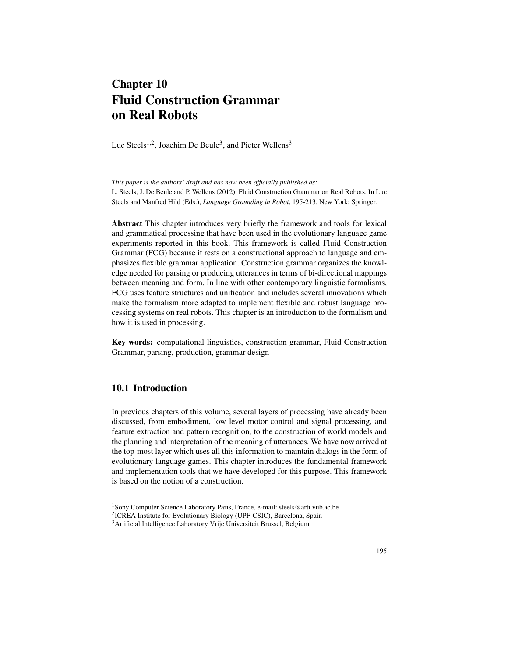# Chapter 10 Fluid Construction Grammar on Real Robots

Luc Steels<sup>1,2</sup>, Joachim De Beule<sup>3</sup>, and Pieter Wellens<sup>3</sup>

*This paper is the authors' draft and has now been officially published as:* L. Steels, J. De Beule and P. Wellens (2012). Fluid Construction Grammar on Real Robots. In Luc Steels and Manfred Hild (Eds.), *Language Grounding in Robot*, 195-213. New York: Springer.

Abstract This chapter introduces very briefly the framework and tools for lexical and grammatical processing that have been used in the evolutionary language game experiments reported in this book. This framework is called Fluid Construction Grammar (FCG) because it rests on a constructional approach to language and emphasizes flexible grammar application. Construction grammar organizes the knowledge needed for parsing or producing utterances in terms of bi-directional mappings between meaning and form. In line with other contemporary linguistic formalisms, FCG uses feature structures and unification and includes several innovations which make the formalism more adapted to implement flexible and robust language processing systems on real robots. This chapter is an introduction to the formalism and how it is used in processing.

Key words: computational linguistics, construction grammar, Fluid Construction Grammar, parsing, production, grammar design

# 10.1 Introduction

In previous chapters of this volume, several layers of processing have already been discussed, from embodiment, low level motor control and signal processing, and feature extraction and pattern recognition, to the construction of world models and the planning and interpretation of the meaning of utterances. We have now arrived at the top-most layer which uses all this information to maintain dialogs in the form of evolutionary language games. This chapter introduces the fundamental framework and implementation tools that we have developed for this purpose. This framework is based on the notion of a construction.

<sup>1</sup>Sony Computer Science Laboratory Paris, France, e-mail: steels@arti.vub.ac.be

<sup>2</sup> ICREA Institute for Evolutionary Biology (UPF-CSIC), Barcelona, Spain

<sup>3</sup>Artificial Intelligence Laboratory Vrije Universiteit Brussel, Belgium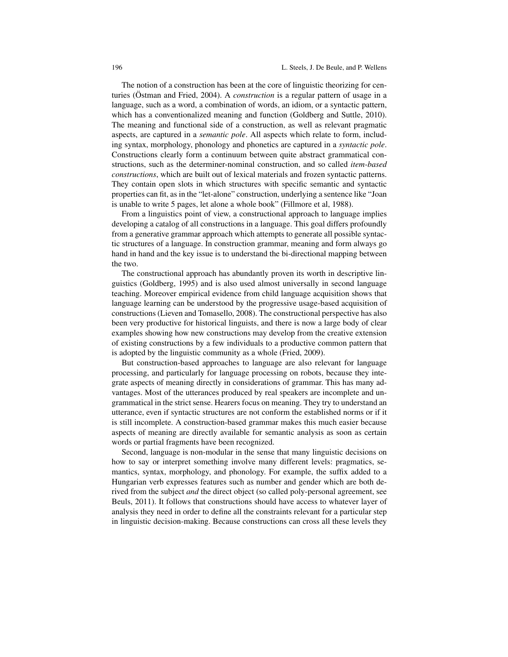The notion of a construction has been at the core of linguistic theorizing for centuries (Östman and Fried, 2004). A *construction* is a regular pattern of usage in a language, such as a word, a combination of words, an idiom, or a syntactic pattern, which has a conventionalized meaning and function (Goldberg and Suttle, 2010). The meaning and functional side of a construction, as well as relevant pragmatic aspects, are captured in a *semantic pole*. All aspects which relate to form, including syntax, morphology, phonology and phonetics are captured in a *syntactic pole*. Constructions clearly form a continuum between quite abstract grammatical constructions, such as the determiner-nominal construction, and so called *item-based constructions*, which are built out of lexical materials and frozen syntactic patterns. They contain open slots in which structures with specific semantic and syntactic properties can fit, as in the "let-alone" construction, underlying a sentence like "Joan is unable to write 5 pages, let alone a whole book" (Fillmore et al, 1988).

From a linguistics point of view, a constructional approach to language implies developing a catalog of all constructions in a language. This goal differs profoundly from a generative grammar approach which attempts to generate all possible syntactic structures of a language. In construction grammar, meaning and form always go hand in hand and the key issue is to understand the bi-directional mapping between the two.

The constructional approach has abundantly proven its worth in descriptive linguistics (Goldberg, 1995) and is also used almost universally in second language teaching. Moreover empirical evidence from child language acquisition shows that language learning can be understood by the progressive usage-based acquisition of constructions (Lieven and Tomasello, 2008). The constructional perspective has also been very productive for historical linguists, and there is now a large body of clear examples showing how new constructions may develop from the creative extension of existing constructions by a few individuals to a productive common pattern that is adopted by the linguistic community as a whole (Fried, 2009).

But construction-based approaches to language are also relevant for language processing, and particularly for language processing on robots, because they integrate aspects of meaning directly in considerations of grammar. This has many advantages. Most of the utterances produced by real speakers are incomplete and ungrammatical in the strict sense. Hearers focus on meaning. They try to understand an utterance, even if syntactic structures are not conform the established norms or if it is still incomplete. A construction-based grammar makes this much easier because aspects of meaning are directly available for semantic analysis as soon as certain words or partial fragments have been recognized.

Second, language is non-modular in the sense that many linguistic decisions on how to say or interpret something involve many different levels: pragmatics, semantics, syntax, morphology, and phonology. For example, the suffix added to a Hungarian verb expresses features such as number and gender which are both derived from the subject *and* the direct object (so called poly-personal agreement, see Beuls, 2011). It follows that constructions should have access to whatever layer of analysis they need in order to define all the constraints relevant for a particular step in linguistic decision-making. Because constructions can cross all these levels they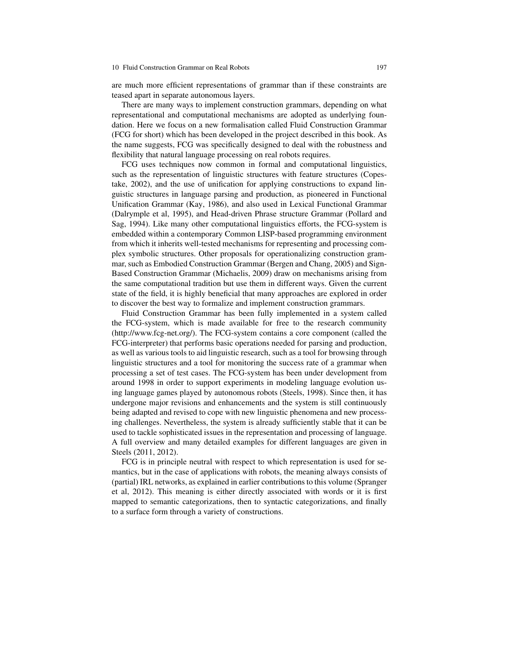are much more efficient representations of grammar than if these constraints are teased apart in separate autonomous layers.

There are many ways to implement construction grammars, depending on what representational and computational mechanisms are adopted as underlying foundation. Here we focus on a new formalisation called Fluid Construction Grammar (FCG for short) which has been developed in the project described in this book. As the name suggests, FCG was specifically designed to deal with the robustness and flexibility that natural language processing on real robots requires.

FCG uses techniques now common in formal and computational linguistics, such as the representation of linguistic structures with feature structures (Copestake, 2002), and the use of unification for applying constructions to expand linguistic structures in language parsing and production, as pioneered in Functional Unification Grammar (Kay, 1986), and also used in Lexical Functional Grammar (Dalrymple et al, 1995), and Head-driven Phrase structure Grammar (Pollard and Sag, 1994). Like many other computational linguistics efforts, the FCG-system is embedded within a contemporary Common LISP-based programming environment from which it inherits well-tested mechanisms for representing and processing complex symbolic structures. Other proposals for operationalizing construction grammar, such as Embodied Construction Grammar (Bergen and Chang, 2005) and Sign-Based Construction Grammar (Michaelis, 2009) draw on mechanisms arising from the same computational tradition but use them in different ways. Given the current state of the field, it is highly beneficial that many approaches are explored in order to discover the best way to formalize and implement construction grammars.

Fluid Construction Grammar has been fully implemented in a system called the FCG-system, which is made available for free to the research community (http://www.fcg-net.org/). The FCG-system contains a core component (called the FCG-interpreter) that performs basic operations needed for parsing and production, as well as various tools to aid linguistic research, such as a tool for browsing through linguistic structures and a tool for monitoring the success rate of a grammar when processing a set of test cases. The FCG-system has been under development from around 1998 in order to support experiments in modeling language evolution using language games played by autonomous robots (Steels, 1998). Since then, it has undergone major revisions and enhancements and the system is still continuously being adapted and revised to cope with new linguistic phenomena and new processing challenges. Nevertheless, the system is already sufficiently stable that it can be used to tackle sophisticated issues in the representation and processing of language. A full overview and many detailed examples for different languages are given in Steels (2011, 2012).

FCG is in principle neutral with respect to which representation is used for semantics, but in the case of applications with robots, the meaning always consists of (partial) IRL networks, as explained in earlier contributions to this volume (Spranger et al, 2012). This meaning is either directly associated with words or it is first mapped to semantic categorizations, then to syntactic categorizations, and finally to a surface form through a variety of constructions.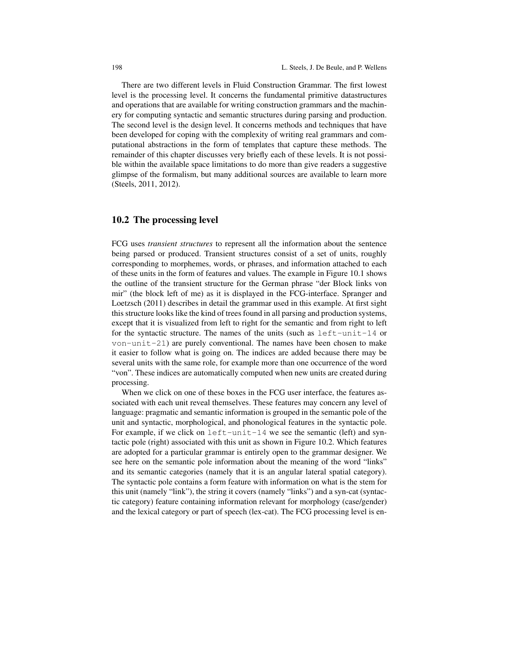There are two different levels in Fluid Construction Grammar. The first lowest level is the processing level. It concerns the fundamental primitive datastructures and operations that are available for writing construction grammars and the machinery for computing syntactic and semantic structures during parsing and production. The second level is the design level. It concerns methods and techniques that have been developed for coping with the complexity of writing real grammars and computational abstractions in the form of templates that capture these methods. The remainder of this chapter discusses very briefly each of these levels. It is not possible within the available space limitations to do more than give readers a suggestive glimpse of the formalism, but many additional sources are available to learn more (Steels, 2011, 2012).

## 10.2 The processing level

FCG uses *transient structures* to represent all the information about the sentence being parsed or produced. Transient structures consist of a set of units, roughly corresponding to morphemes, words, or phrases, and information attached to each of these units in the form of features and values. The example in Figure 10.1 shows the outline of the transient structure for the German phrase "der Block links von mir" (the block left of me) as it is displayed in the FCG-interface. Spranger and Loetzsch (2011) describes in detail the grammar used in this example. At first sight this structure looks like the kind of trees found in all parsing and production systems, except that it is visualized from left to right for the semantic and from right to left for the syntactic structure. The names of the units (such as left-unit-14 or  $von-unit-21$  are purely conventional. The names have been chosen to make it easier to follow what is going on. The indices are added because there may be several units with the same role, for example more than one occurrence of the word "von". These indices are automatically computed when new units are created during processing.

When we click on one of these boxes in the FCG user interface, the features associated with each unit reveal themselves. These features may concern any level of language: pragmatic and semantic information is grouped in the semantic pole of the unit and syntactic, morphological, and phonological features in the syntactic pole. For example, if we click on left-unit-14 we see the semantic (left) and syntactic pole (right) associated with this unit as shown in Figure 10.2. Which features are adopted for a particular grammar is entirely open to the grammar designer. We see here on the semantic pole information about the meaning of the word "links" and its semantic categories (namely that it is an angular lateral spatial category). The syntactic pole contains a form feature with information on what is the stem for this unit (namely "link"), the string it covers (namely "links") and a syn-cat (syntactic category) feature containing information relevant for morphology (case/gender) and the lexical category or part of speech (lex-cat). The FCG processing level is en-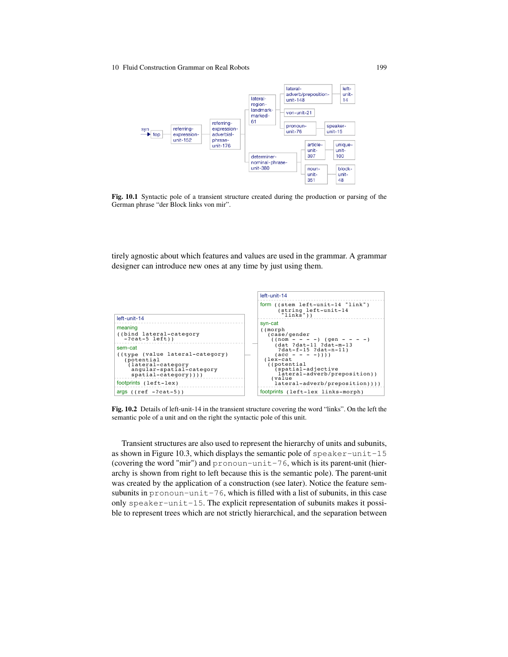

Fig. 10.1 Syntactic pole of a transient structure created during the production or parsing of the German phrase "der Block links von mir".

tirely agnostic about which features and values are used in the grammar. A grammar designer can introduce new ones at any time by just using them. atures rely expectie shout which features and values are used in t  $\lim_{\epsilon \to 0} a_{\epsilon}$ والمستحدث والمتعاون والمستحدث والمتعاون والمستحدث والمتعاون والمتعاون والمتعاون والمتعاون والمتعاون والمتعاون والمتعاون



 $\frac{1}{3}$  determines the minutes of the  $\frac{3}{3}$ Fig. 10.2 Details of left-unit-14 in the transient structure covering the word "links". On the left the  $\mu$  pole of a unit and on the right the syntactic semantic pole of a unit and on the right the syntactic pole of this unit.

Transient structures are also used to represent the hierarchy of units and subunits,  $\frac{1}{2}$  (covering the word "mir") and pronoun-unit-76, which is its parent-unit (hierevening the word Thin ) and profits and there we, which is no parent-unit (then archy is shown from right to left because this is the semantic pole). The parent-unit was created by the application of a construction (see later). Notice the feature semas shown in Figure 10.3, which displays the semantic pole of speaker-unit-15 subunits in pronoun-unit-76, which is filled with a list of subunits, in this case only speaker-unit-15. The explicit representation of subunits makes it possionly specifical direct-9. The explicit representation of subtains makes a possible to represent trees which are not strictly hierarchical, and the separation between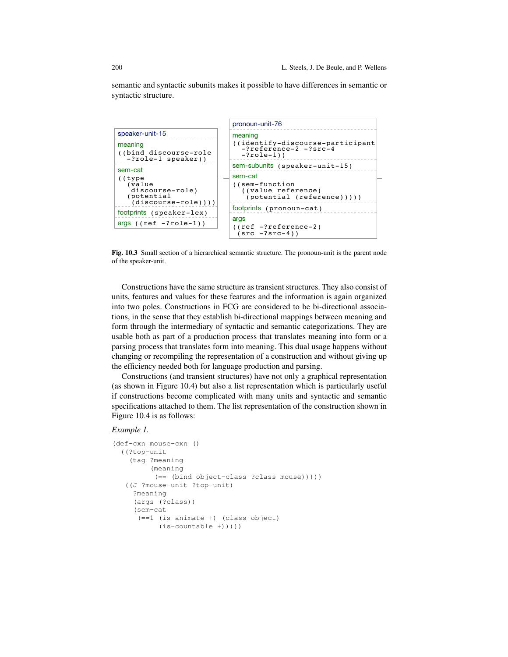semantic and syntactic subunits makes it possible to have differences in semantic or syntactic structure. mir-morph to der-morph to der-morph the morph to problem (criminal-phrase (gram) referring-expression-adverbia<br>Contradiction-adverbial-phrase (gram) referring-expression-advertise (gram [der block][vor/an...])

```
meaning 
                                  sem-subunits 
(speaker-unit-15)
                                 sem-cat 
                                  footprints 
(pronoun-cat)
                                 args 
                                 pronoun-unit-76
                                  ((identify-discourse-participant
-?reference-2 -?src-4 -?role-1))
                                  ((sem-function
                                    ((value reference)
                                      (potential (reference)))))
                                  ((ref -?reference-2)
                                   (src - 2src - 4))meaning 
sem-cat 
footprints 
(speaker-lex)
args 
((ref -?role-1))
speaker-unit-15
((bind discourse-role -?role-1 speaker))
((type
   (value
    discourse-role)
  (potential
    (discourse-role))))
```
of the speaker-unit. Fig. 10.3 Small section of a hierarchical semantic structure. The pronoun-unit is the parent node

lateral-advertisers in the present of the present of the second second second second second second second second second second second second second second second second second second second second second second second seco units, features and values for these features and the information is again organized Constructions have the same structure as transient structures. They also consist of form unough the intermedially or syntactic and semantic categorizations. They are usable both as part of a production process that translates meaning into form or a astistic both as part of a production process that translates meaning meaning that form of a man, constructions in FCG are considered to be bi-directional associations, in the sense that they establish bi-directional mappings between meaning and  $mg.$ changing or recompiling the representation of a construction and without giving up form through the intermediary of syntactic and semantic categorizations. They are the efficiency needed both for language production and parsing.

specifications attached to them. The list representation of the construction shown in Constructions (and transient structures) have not only a graphical representation (as shown in Figure 10.4) but also a list representation which is particularly useful if constructions become complicated with many units and syntactic and semantic Figure 10.4 is as follows:

#### *Example 1.*

```
(==1 (is-animate +) (class object)
       (def-cxn mouse-cxn ()
        ((?top-unit
         (tag ?meaning
            (meaning
             (== (bind object-class ?class mouse)))))
        ((J ?mouse-unit ?top-unit)
         ?meaning
          (args (?class))
          (sem-cat
             (is-countable +)))))
```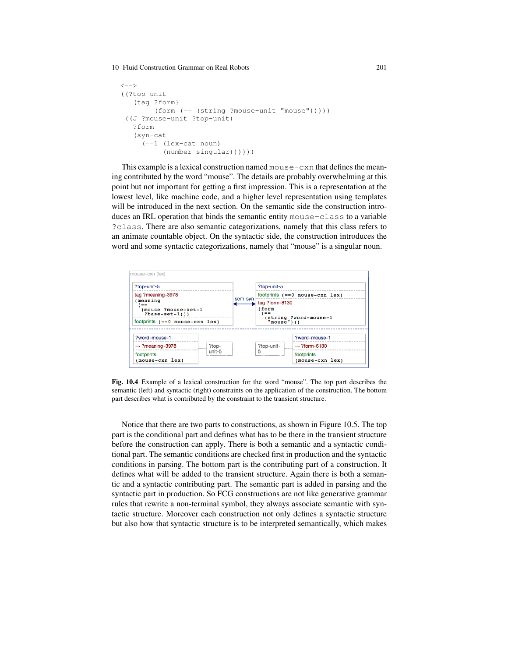```
\leq = \geq((?top-unit
   (tag ?form}
        (form (== (string ?mouse-unit "mouse")))))
 ((J ?mouse-unit ?top-unit)
   ?form
   (syn-cat
     (==1 (lex-cat noun)
           (number singular))))))
```
This example is a lexical construction named mouse  $-\text{cx}$  that defines the meaning contributed by the word "mouse". The details are probably overwhelming at this point but not important for getting a first impression. This is a representation at the lowest level, like machine code, and a higher level representation using templates will be introduced in the next section. On the semantic side the construction introduces an IRL operation that binds the semantic entity mouse-class to a variable ?class. There are also semantic categorizations, namely that this class refers to an animate countable object. On the syntactic side, the construction introduces the word and some syntactic categorizations, namely that "mouse" is a singular noun.



Fig. 10.4 Example of a lexical construction for the word "mouse". The top part describes the semantic (left) and syntactic (right) constraints on the application of the construction. The bottom part describes what is contributed by the constraint to the transient structure.

Notice that there are two parts to constructions, as shown in Figure 10.5. The top part is the conditional part and defines what has to be there in the transient structure before the construction can apply. There is both a semantic and a syntactic conditional part. The semantic conditions are checked first in production and the syntactic conditions in parsing. The bottom part is the contributing part of a construction. It defines what will be added to the transient structure. Again there is both a semantic and a syntactic contributing part. The semantic part is added in parsing and the syntactic part in production. So FCG constructions are not like generative grammar rules that rewrite a non-terminal symbol, they always associate semantic with syntactic structure. Moreover each construction not only defines a syntactic structure but also how that syntactic structure is to be interpreted semantically, which makes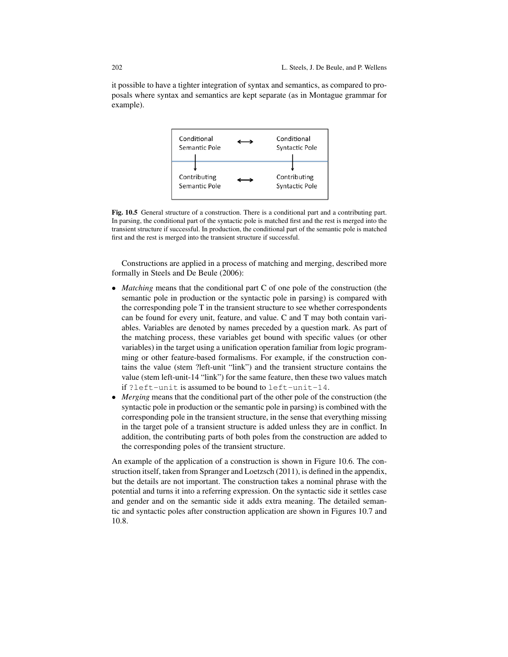it possible to have a tighter integration of syntax and semantics, as compared to proposals where syntax and semantics are kept separate (as in Montague grammar for example).



Fig. 10.5 General structure of a construction. There is a conditional part and a contributing part. In parsing, the conditional part of the syntactic pole is matched first and the rest is merged into the transient structure if successful. In production, the conditional part of the semantic pole is matched first and the rest is merged into the transient structure if successful.

Constructions are applied in a process of matching and merging, described more formally in Steels and De Beule (2006):

- *Matching* means that the conditional part C of one pole of the construction (the semantic pole in production or the syntactic pole in parsing) is compared with the corresponding pole T in the transient structure to see whether correspondents can be found for every unit, feature, and value. C and T may both contain variables. Variables are denoted by names preceded by a question mark. As part of the matching process, these variables get bound with specific values (or other variables) in the target using a unification operation familiar from logic programming or other feature-based formalisms. For example, if the construction contains the value (stem ?left-unit "link") and the transient structure contains the value (stem left-unit-14 "link") for the same feature, then these two values match if ?left-unit is assumed to be bound to left-unit-14.
- *Merging* means that the conditional part of the other pole of the construction (the syntactic pole in production or the semantic pole in parsing) is combined with the corresponding pole in the transient structure, in the sense that everything missing in the target pole of a transient structure is added unless they are in conflict. In addition, the contributing parts of both poles from the construction are added to the corresponding poles of the transient structure.

An example of the application of a construction is shown in Figure 10.6. The construction itself, taken from Spranger and Loetzsch (2011), is defined in the appendix, but the details are not important. The construction takes a nominal phrase with the potential and turns it into a referring expression. On the syntactic side it settles case and gender and on the semantic side it adds extra meaning. The detailed semantic and syntactic poles after construction application are shown in Figures 10.7 and 10.8.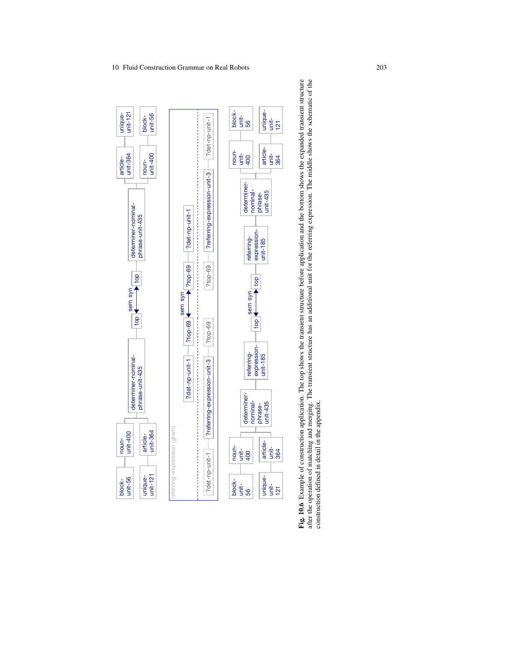

resulting bindings ((?syn-function-value-2 . referring-expression) (?acc-m-5 . -) (?dat-m-5 . -) (?gen-m-5 . -)  $x$  and  $y$  is the construction application. The role appears substitute before application of  $y$  . eration of matching and merging. The transient structure has an additional unit for the referring expression. The middle sho (), reference) (), reference) (),  $d = 1$  . The function-nominal-phrase-unit-435) (),  $d = 1$ ( approximation -?src-2)) (context -?src-2)) (?src-2) (?top-69 . top-69 . top-69 . top-69 . top-69 . top-69 . top-69 . top-69 . top-69 . top-69 . top-69 . top-69 . top-69 . top-69 . top-69 . top-69 . top-69 . top-69 . top-Fig. 10.6 Example of construction application. The top shows the transient structure before application and the bottom shows the expanded transient structure after the operation of matching and merging. The transient structure has an additional unit for the referring expression. The middle shows the schematic of the construction defined in detail in the appendix.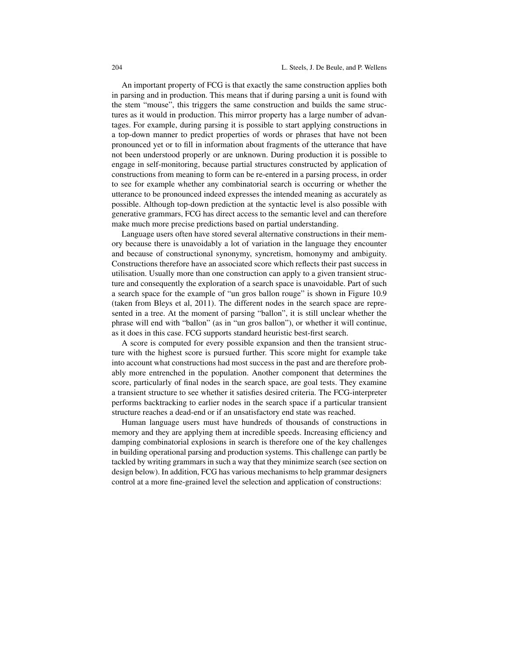An important property of FCG is that exactly the same construction applies both in parsing and in production. This means that if during parsing a unit is found with the stem "mouse", this triggers the same construction and builds the same structures as it would in production. This mirror property has a large number of advantages. For example, during parsing it is possible to start applying constructions in a top-down manner to predict properties of words or phrases that have not been pronounced yet or to fill in information about fragments of the utterance that have not been understood properly or are unknown. During production it is possible to engage in self-monitoring, because partial structures constructed by application of constructions from meaning to form can be re-entered in a parsing process, in order to see for example whether any combinatorial search is occurring or whether the utterance to be pronounced indeed expresses the intended meaning as accurately as possible. Although top-down prediction at the syntactic level is also possible with generative grammars, FCG has direct access to the semantic level and can therefore make much more precise predictions based on partial understanding.

Language users often have stored several alternative constructions in their memory because there is unavoidably a lot of variation in the language they encounter and because of constructional synonymy, syncretism, homonymy and ambiguity. Constructions therefore have an associated score which reflects their past success in utilisation. Usually more than one construction can apply to a given transient structure and consequently the exploration of a search space is unavoidable. Part of such a search space for the example of "un gros ballon rouge" is shown in Figure 10.9 (taken from Bleys et al, 2011). The different nodes in the search space are represented in a tree. At the moment of parsing "ballon", it is still unclear whether the phrase will end with "ballon" (as in "un gros ballon"), or whether it will continue, as it does in this case. FCG supports standard heuristic best-first search.

A score is computed for every possible expansion and then the transient structure with the highest score is pursued further. This score might for example take into account what constructions had most success in the past and are therefore probably more entrenched in the population. Another component that determines the score, particularly of final nodes in the search space, are goal tests. They examine a transient structure to see whether it satisfies desired criteria. The FCG-interpreter performs backtracking to earlier nodes in the search space if a particular transient structure reaches a dead-end or if an unsatisfactory end state was reached.

Human language users must have hundreds of thousands of constructions in memory and they are applying them at incredible speeds. Increasing efficiency and damping combinatorial explosions in search is therefore one of the key challenges in building operational parsing and production systems. This challenge can partly be tackled by writing grammars in such a way that they minimize search (see section on design below). In addition, FCG has various mechanisms to help grammar designers control at a more fine-grained level the selection and application of constructions: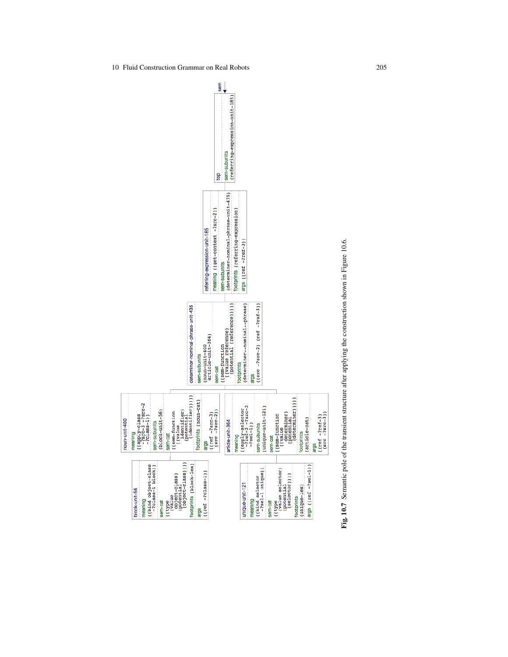

sem-cat



footprints

sem-cat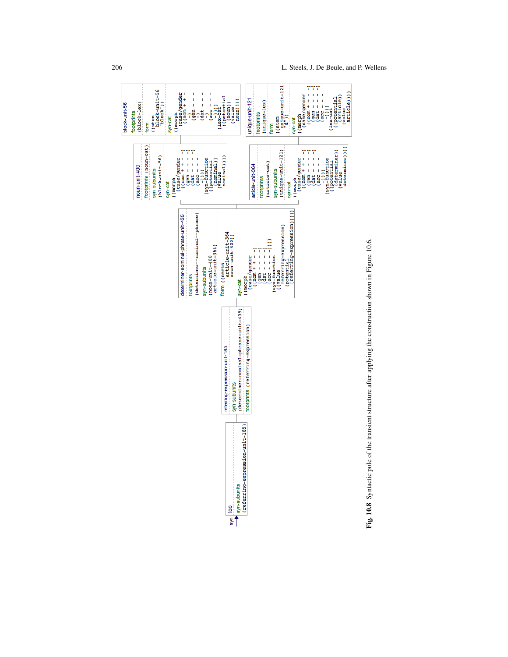



#### 206 L. Steels, J. De Beule, and P. Wellens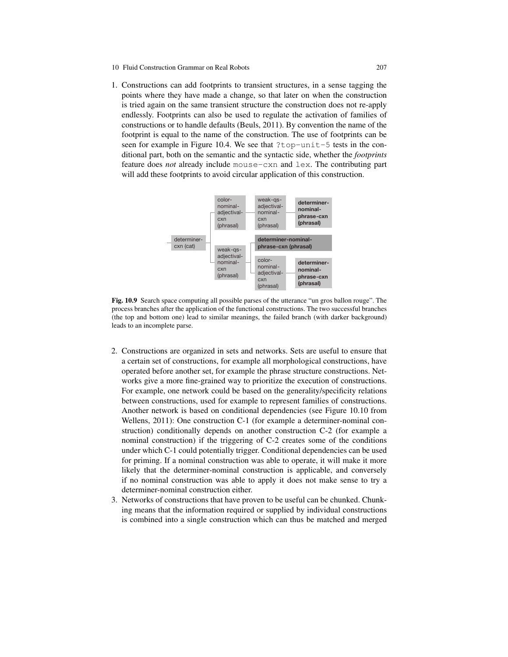- 10 Fluid Construction Grammar on Real Robots 207
- 1. Constructions can add footprints to transient structures, in a sense tagging the points where they have made a change, so that later on when the construction is tried again on the same transient structure the construction does not re-apply endlessly. Footprints can also be used to regulate the activation of families of constructions or to handle defaults (Beuls, 2011). By convention the name of the footprint is equal to the name of the construction. The use of footprints can be seen for example in Figure 10.4. We see that ?top-unit-5 tests in the conditional part, both on the semantic and the syntactic side, whether the *footprints* feature does *not* already include mouse-cxn and lex. The contributing part will add these footprints to avoid circular application of this construction.



Fig. 10.9 Search space computing all possible parses of the utterance "un gros ballon rouge". The process branches after the application of the functional constructions. The two successful branches (the top and bottom one) lead to similar meanings, the failed branch (with darker background) leads to an incomplete parse.

- 2. Constructions are organized in sets and networks. Sets are useful to ensure that a certain set of constructions, for example all morphological constructions, have operated before another set, for example the phrase structure constructions. Networks give a more fine-grained way to prioritize the execution of constructions. For example, one network could be based on the generality/specificity relations between constructions, used for example to represent families of constructions. Another network is based on conditional dependencies (see Figure 10.10 from Wellens, 2011): One construction C-1 (for example a determiner-nominal construction) conditionally depends on another construction C-2 (for example a nominal construction) if the triggering of C-2 creates some of the conditions under which C-1 could potentially trigger. Conditional dependencies can be used for priming. If a nominal construction was able to operate, it will make it more likely that the determiner-nominal construction is applicable, and conversely if no nominal construction was able to apply it does not make sense to try a determiner-nominal construction either.
- 3. Networks of constructions that have proven to be useful can be chunked. Chunking means that the information required or supplied by individual constructions is combined into a single construction which can thus be matched and merged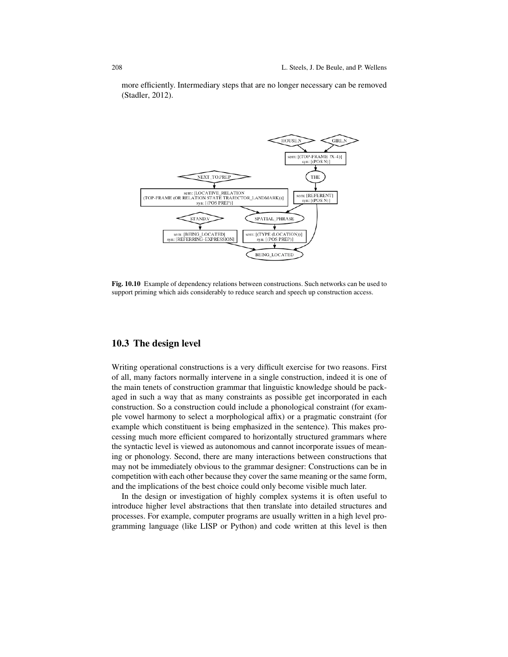more efficiently. Intermediary steps that are no longer necessary can be removed (Stadler, 2012).



Fig. 10.10 Example of dependency relations between constructions. Such networks can be used to support priming which aids considerably to reduce search and speech up construction access.

### 10.3 The design level

Writing operational constructions is a very difficult exercise for two reasons. First of all, many factors normally intervene in a single construction, indeed it is one of the main tenets of construction grammar that linguistic knowledge should be packaged in such a way that as many constraints as possible get incorporated in each construction. So a construction could include a phonological constraint (for example vowel harmony to select a morphological affix) or a pragmatic constraint (for example which constituent is being emphasized in the sentence). This makes processing much more efficient compared to horizontally structured grammars where the syntactic level is viewed as autonomous and cannot incorporate issues of meaning or phonology. Second, there are many interactions between constructions that may not be immediately obvious to the grammar designer: Constructions can be in competition with each other because they cover the same meaning or the same form, and the implications of the best choice could only become visible much later.

In the design or investigation of highly complex systems it is often useful to introduce higher level abstractions that then translate into detailed structures and processes. For example, computer programs are usually written in a high level programming language (like LISP or Python) and code written at this level is then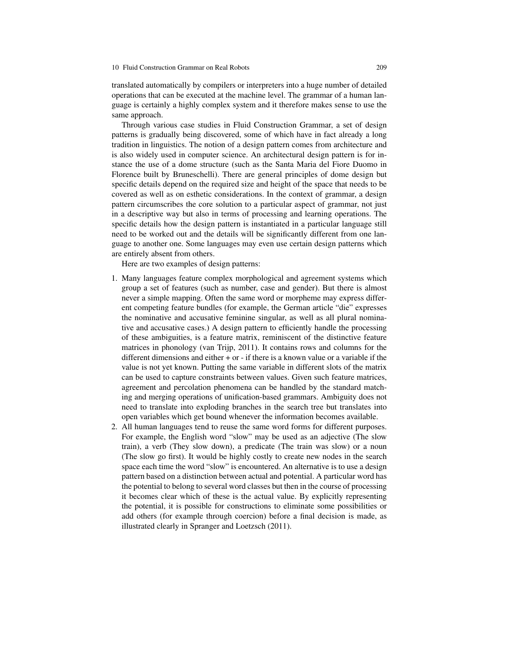translated automatically by compilers or interpreters into a huge number of detailed operations that can be executed at the machine level. The grammar of a human language is certainly a highly complex system and it therefore makes sense to use the same approach.

Through various case studies in Fluid Construction Grammar, a set of design patterns is gradually being discovered, some of which have in fact already a long tradition in linguistics. The notion of a design pattern comes from architecture and is also widely used in computer science. An architectural design pattern is for instance the use of a dome structure (such as the Santa Maria del Fiore Duomo in Florence built by Bruneschelli). There are general principles of dome design but specific details depend on the required size and height of the space that needs to be covered as well as on esthetic considerations. In the context of grammar, a design pattern circumscribes the core solution to a particular aspect of grammar, not just in a descriptive way but also in terms of processing and learning operations. The specific details how the design pattern is instantiated in a particular language still need to be worked out and the details will be significantly different from one language to another one. Some languages may even use certain design patterns which are entirely absent from others.

Here are two examples of design patterns:

- 1. Many languages feature complex morphological and agreement systems which group a set of features (such as number, case and gender). But there is almost never a simple mapping. Often the same word or morpheme may express different competing feature bundles (for example, the German article "die" expresses the nominative and accusative feminine singular, as well as all plural nominative and accusative cases.) A design pattern to efficiently handle the processing of these ambiguities, is a feature matrix, reminiscent of the distinctive feature matrices in phonology (van Trijp, 2011). It contains rows and columns for the different dimensions and either + or - if there is a known value or a variable if the value is not yet known. Putting the same variable in different slots of the matrix can be used to capture constraints between values. Given such feature matrices, agreement and percolation phenomena can be handled by the standard matching and merging operations of unification-based grammars. Ambiguity does not need to translate into exploding branches in the search tree but translates into open variables which get bound whenever the information becomes available.
- 2. All human languages tend to reuse the same word forms for different purposes. For example, the English word "slow" may be used as an adjective (The slow train), a verb (They slow down), a predicate (The train was slow) or a noun (The slow go first). It would be highly costly to create new nodes in the search space each time the word "slow" is encountered. An alternative is to use a design pattern based on a distinction between actual and potential. A particular word has the potential to belong to several word classes but then in the course of processing it becomes clear which of these is the actual value. By explicitly representing the potential, it is possible for constructions to eliminate some possibilities or add others (for example through coercion) before a final decision is made, as illustrated clearly in Spranger and Loetzsch (2011).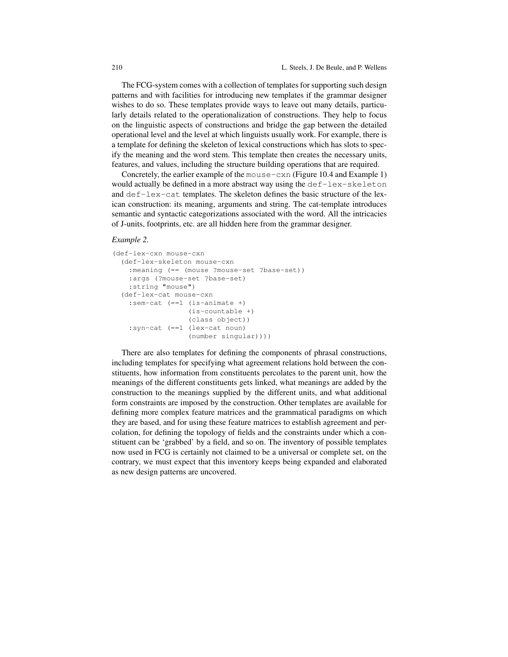The FCG-system comes with a collection of templates for supporting such design patterns and with facilities for introducing new templates if the grammar designer wishes to do so. These templates provide ways to leave out many details, particularly details related to the operationalization of constructions. They help to focus on the linguistic aspects of constructions and bridge the gap between the detailed operational level and the level at which linguists usually work. For example, there is a template for defining the skeleton of lexical constructions which has slots to specify the meaning and the word stem. This template then creates the necessary units, features, and values, including the structure building operations that are required.

Concretely, the earlier example of the mouse-cxn (Figure 10.4 and Example 1) would actually be defined in a more abstract way using the def-lex-skeleton and  $def-lex-cat$  templates. The skeleton defines the basic structure of the lexican construction: its meaning, arguments and string. The cat-template introduces semantic and syntactic categorizations associated with the word. All the intricacies of J-units, footprints, etc. are all hidden here from the grammar designer.

#### *Example 2.*

```
(def-lex-cxn mouse-cxn
 (def-lex-skeleton mouse-cxn
   :meaning (== (mouse ?mouse-set ?base-set))
   :args (?mouse-set ?base-set)
   :string "mouse")
 (def-lex-cat mouse-cxn
   :sem-cat (==1 (is-animate +)
                  (is-countable +)
                  (class object))
   :syn-cat (==1 (lex-cat noun)
                  (number singular))))
```
There are also templates for defining the components of phrasal constructions, including templates for specifying what agreement relations hold between the constituents, how information from constituents percolates to the parent unit, how the meanings of the different constituents gets linked, what meanings are added by the construction to the meanings supplied by the different units, and what additional form constraints are imposed by the construction. Other templates are available for defining more complex feature matrices and the grammatical paradigms on which they are based, and for using these feature matrices to establish agreement and percolation, for defining the topology of fields and the constraints under which a constituent can be 'grabbed' by a field, and so on. The inventory of possible templates now used in FCG is certainly not claimed to be a universal or complete set, on the contrary, we must expect that this inventory keeps being expanded and elaborated as new design patterns are uncovered.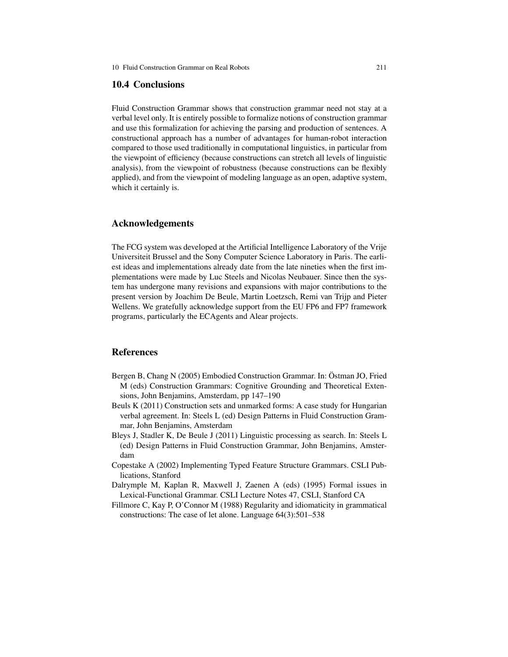#### 10.4 Conclusions

Fluid Construction Grammar shows that construction grammar need not stay at a verbal level only. It is entirely possible to formalize notions of construction grammar and use this formalization for achieving the parsing and production of sentences. A constructional approach has a number of advantages for human-robot interaction compared to those used traditionally in computational linguistics, in particular from the viewpoint of efficiency (because constructions can stretch all levels of linguistic analysis), from the viewpoint of robustness (because constructions can be flexibly applied), and from the viewpoint of modeling language as an open, adaptive system, which it certainly is.

## Acknowledgements

The FCG system was developed at the Artificial Intelligence Laboratory of the Vrije Universiteit Brussel and the Sony Computer Science Laboratory in Paris. The earliest ideas and implementations already date from the late nineties when the first implementations were made by Luc Steels and Nicolas Neubauer. Since then the system has undergone many revisions and expansions with major contributions to the present version by Joachim De Beule, Martin Loetzsch, Remi van Trijp and Pieter Wellens. We gratefully acknowledge support from the EU FP6 and FP7 framework programs, particularly the ECAgents and Alear projects.

#### References

- Bergen B, Chang N (2005) Embodied Construction Grammar. In: Östman JO, Fried M (eds) Construction Grammars: Cognitive Grounding and Theoretical Extensions, John Benjamins, Amsterdam, pp 147–190
- Beuls K (2011) Construction sets and unmarked forms: A case study for Hungarian verbal agreement. In: Steels L (ed) Design Patterns in Fluid Construction Grammar, John Benjamins, Amsterdam
- Bleys J, Stadler K, De Beule J (2011) Linguistic processing as search. In: Steels L (ed) Design Patterns in Fluid Construction Grammar, John Benjamins, Amsterdam
- Copestake A (2002) Implementing Typed Feature Structure Grammars. CSLI Publications, Stanford
- Dalrymple M, Kaplan R, Maxwell J, Zaenen A (eds) (1995) Formal issues in Lexical-Functional Grammar. CSLI Lecture Notes 47, CSLI, Stanford CA
- Fillmore C, Kay P, O'Connor M (1988) Regularity and idiomaticity in grammatical constructions: The case of let alone. Language 64(3):501–538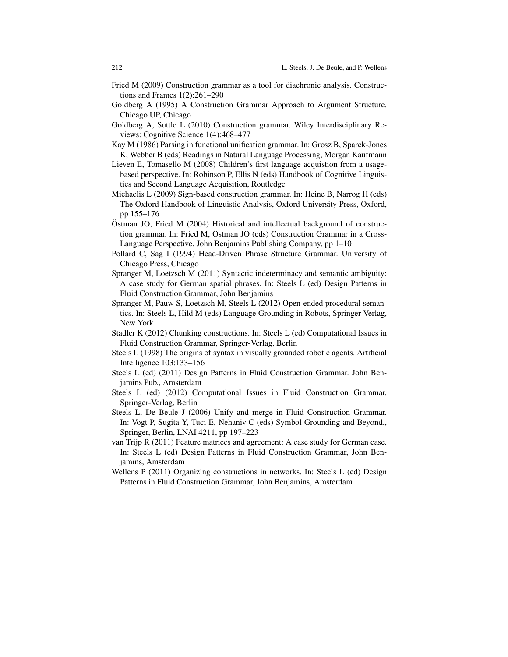- Fried M (2009) Construction grammar as a tool for diachronic analysis. Constructions and Frames 1(2):261–290
- Goldberg A (1995) A Construction Grammar Approach to Argument Structure. Chicago UP, Chicago
- Goldberg A, Suttle L (2010) Construction grammar. Wiley Interdisciplinary Reviews: Cognitive Science 1(4):468–477
- Kay M (1986) Parsing in functional unification grammar. In: Grosz B, Sparck-Jones K, Webber B (eds) Readings in Natural Language Processing, Morgan Kaufmann
- Lieven E, Tomasello M (2008) Children's first language acquistion from a usagebased perspective. In: Robinson P, Ellis N (eds) Handbook of Cognitive Linguistics and Second Language Acquisition, Routledge
- Michaelis L (2009) Sign-based construction grammar. In: Heine B, Narrog H (eds) The Oxford Handbook of Linguistic Analysis, Oxford University Press, Oxford, pp 155–176
- Östman JO, Fried M (2004) Historical and intellectual background of construction grammar. In: Fried M, Östman JO (eds) Construction Grammar in a Cross-Language Perspective, John Benjamins Publishing Company, pp 1–10
- Pollard C, Sag I (1994) Head-Driven Phrase Structure Grammar. University of Chicago Press, Chicago
- Spranger M, Loetzsch M (2011) Syntactic indeterminacy and semantic ambiguity: A case study for German spatial phrases. In: Steels L (ed) Design Patterns in Fluid Construction Grammar, John Benjamins
- Spranger M, Pauw S, Loetzsch M, Steels L (2012) Open-ended procedural semantics. In: Steels L, Hild M (eds) Language Grounding in Robots, Springer Verlag, New York
- Stadler K (2012) Chunking constructions. In: Steels L (ed) Computational Issues in Fluid Construction Grammar, Springer-Verlag, Berlin
- Steels L (1998) The origins of syntax in visually grounded robotic agents. Artificial Intelligence 103:133–156
- Steels L (ed) (2011) Design Patterns in Fluid Construction Grammar. John Benjamins Pub., Amsterdam
- Steels L (ed) (2012) Computational Issues in Fluid Construction Grammar. Springer-Verlag, Berlin
- Steels L, De Beule J (2006) Unify and merge in Fluid Construction Grammar. In: Vogt P, Sugita Y, Tuci E, Nehaniv C (eds) Symbol Grounding and Beyond., Springer, Berlin, LNAI 4211, pp 197–223
- van Trijp R (2011) Feature matrices and agreement: A case study for German case. In: Steels L (ed) Design Patterns in Fluid Construction Grammar, John Benjamins, Amsterdam
- Wellens P (2011) Organizing constructions in networks. In: Steels L (ed) Design Patterns in Fluid Construction Grammar, John Benjamins, Amsterdam